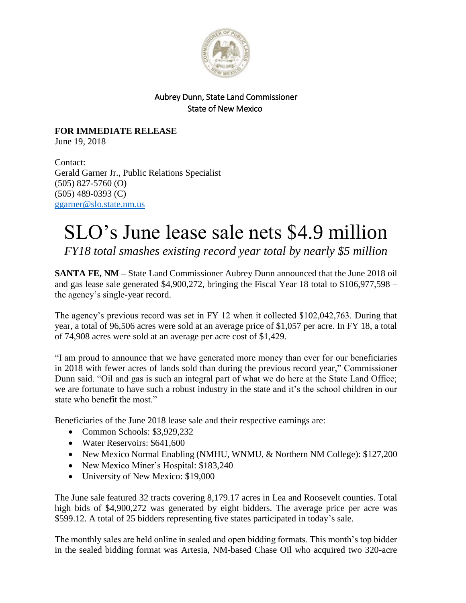

## Aubrey Dunn, State Land Commissioner State of New Mexico

**FOR IMMEDIATE RELEASE** June 19, 2018

Contact: Gerald Garner Jr., Public Relations Specialist (505) 827-5760 (O) (505) 489-0393 (C) [ggarner@slo.state.nm.us](mailto:ggarner@slo.state.nm.us)

## SLO's June lease sale nets \$4.9 million

*FY18 total smashes existing record year total by nearly \$5 million*

**SANTA FE, NM –** State Land Commissioner Aubrey Dunn announced that the June 2018 oil and gas lease sale generated \$4,900,272, bringing the Fiscal Year 18 total to \$106,977,598 – the agency's single-year record.

The agency's previous record was set in FY 12 when it collected \$102,042,763. During that year, a total of 96,506 acres were sold at an average price of \$1,057 per acre. In FY 18, a total of 74,908 acres were sold at an average per acre cost of \$1,429.

"I am proud to announce that we have generated more money than ever for our beneficiaries in 2018 with fewer acres of lands sold than during the previous record year," Commissioner Dunn said. "Oil and gas is such an integral part of what we do here at the State Land Office; we are fortunate to have such a robust industry in the state and it's the school children in our state who benefit the most."

Beneficiaries of the June 2018 lease sale and their respective earnings are:

- Common Schools: \$3,929,232
- Water Reservoirs: \$641,600
- New Mexico Normal Enabling (NMHU, WNMU, & Northern NM College): \$127,200
- New Mexico Miner's Hospital: \$183,240
- University of New Mexico: \$19,000

The June sale featured 32 tracts covering 8,179.17 acres in Lea and Roosevelt counties. Total high bids of \$4,900,272 was generated by eight bidders. The average price per acre was \$599.12. A total of 25 bidders representing five states participated in today's sale.

The monthly sales are held online in sealed and open bidding formats. This month's top bidder in the sealed bidding format was Artesia, NM-based Chase Oil who acquired two 320-acre